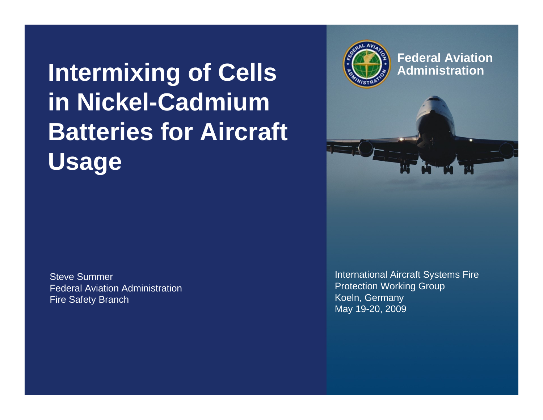## **Intermixing of Cells in Nickel-Cadmium Batteries for Aircraft Usage**

Steve SummerFederal Aviation AdministrationFire Safety Branch

International Aircraft Systems Fire Protection Working Group Koeln, Germany May 19-20, 2009



## **Federal AviationAdministration**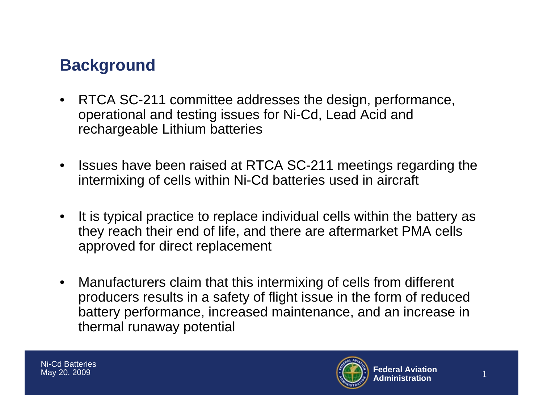## **Background**

- RTCA SC-211 committee addresses the design, performance, operational and testing issues for Ni-Cd, Lead Acid and rechargeable Lithium batteries
- $\bullet$  Issues have been raised at RTCA SC-211 meetings regarding the intermixing of cells within Ni-Cd batteries used in aircraft
- $\bullet$  It is typical practice to replace individual cells within the battery as they reach their end of life, and there are aftermarket PMA cells approved for direct replacement
- $\bullet$  Manufacturers claim that this intermixing of cells from different producers results in a safety of flight issue in the form of reduced battery performance, increased maintenance, and an increase in thermal runaway potential